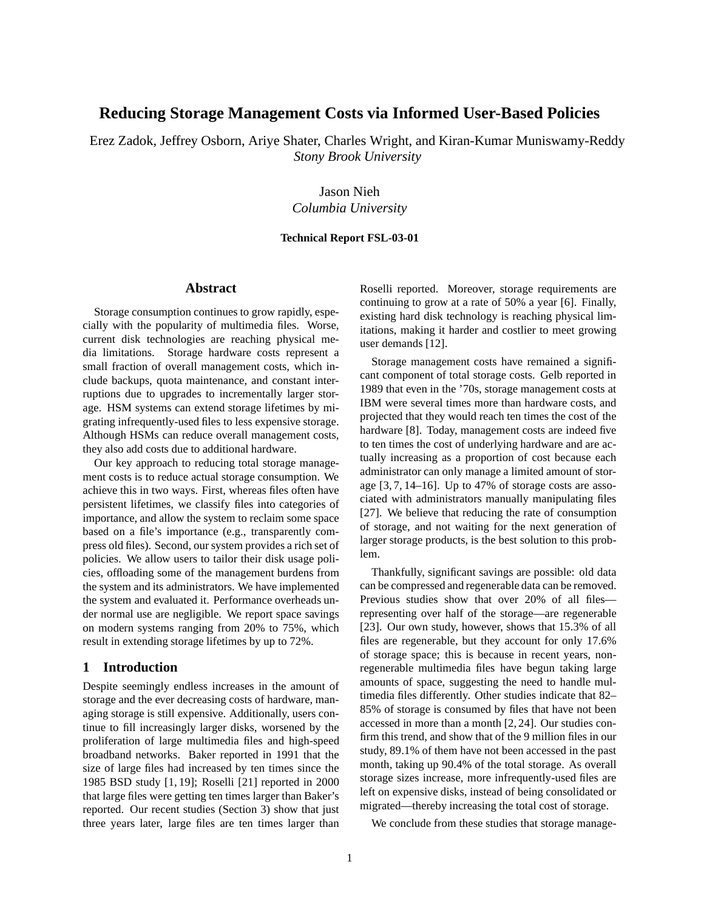# **Reducing Storage Management Costs via Informed User-Based Policies**

Erez Zadok, Jeffrey Osborn, Ariye Shater, Charles Wright, and Kiran-Kumar Muniswamy-Reddy *Stony Brook University*

> Jason Nieh *Columbia University*

#### **Technical Report FSL-03-01**

#### **Abstract**

Storage consumption continues to grow rapidly, especially with the popularity of multimedia files. Worse, current disk technologies are reaching physical media limitations. Storage hardware costs represent a small fraction of overall management costs, which include backups, quota maintenance, and constant interruptions due to upgrades to incrementally larger storage. HSM systems can extend storage lifetimes by migrating infrequently-used files to less expensive storage. Although HSMs can reduce overall management costs, they also add costs due to additional hardware.

Our key approach to reducing total storage management costs is to reduce actual storage consumption. We achieve this in two ways. First, whereas files often have persistent lifetimes, we classify files into categories of importance, and allow the system to reclaim some space based on a file's importance (e.g., transparently compress old files). Second, oursystem provides a rich set of policies. We allow users to tailor their disk usage policies, offloading some of the management burdens from the system and its administrators. We have implemented the system and evaluated it. Performance overheads under normal use are negligible. We report space savings on modern systems ranging from 20% to 75%, which result in extending storage lifetimes by up to 72%.

#### **1 Introduction**

Despite seemingly endless increases in the amount of storage and the ever decreasing costs of hardware, managing storage is still expensive. Additionally, users continue to fill increasingly larger disks, worsened by the proliferation of large multimedia files and high-speed broadband networks. Baker reported in 1991 that the size of large files had increased by ten times since the 1985 BSD study [1, 19]; Roselli [21] reported in 2000 that large files were getting ten times larger than Baker's reported. Our recent studies (Section 3) show that just three years later, large files are ten times larger than Roselli reported. Moreover, storage requirements are continuing to grow at a rate of 50% a year [6]. Finally, existing hard disk technology is reaching physical limitations, making it harder and costlier to meet growing user demands [12].

Storage management costs have remained a significant component of total storage costs. Gelb reported in 1989 that even in the '70s, storage management costs at IBM were several times more than hardware costs, and projected that they would reach ten times the cost of the hardware [8]. Today, management costs are indeed five to ten times the cost of underlying hardware and are actually increasing as a proportion of cost because each administrator can only manage a limited amount of storage [3, 7, 14–16]. Up to 47% of storage costs are associated with administrators manually manipulating files [27]. We believe that reducing the rate of consumption of storage, and not waiting for the next generation of larger storage products, is the best solution to this problem.

Thankfully, significant savings are possible: old data can be compressed and regenerable data can be removed. Previous studies show that over 20% of all files representing over half of the storage—are regenerable [23]. Our own study, however, shows that 15.3% of all files are regenerable, but they account for only 17.6% of storage space; this is because in recent years, nonregenerable multimedia files have begun taking large amounts of space, suggesting the need to handle multimedia files differently. Other studies indicate that 82– 85% of storage is consumed by files that have not been accessed in more than a month [2, 24]. Our studies confirm this trend, and show that of the 9 million files in our study, 89.1% of them have not been accessed in the past month, taking up 90.4% of the total storage. As overall storage sizes increase, more infrequently-used files are left on expensive disks, instead of being consolidated or migrated—thereby increasing the total cost of storage.

We conclude from these studies that storage manage-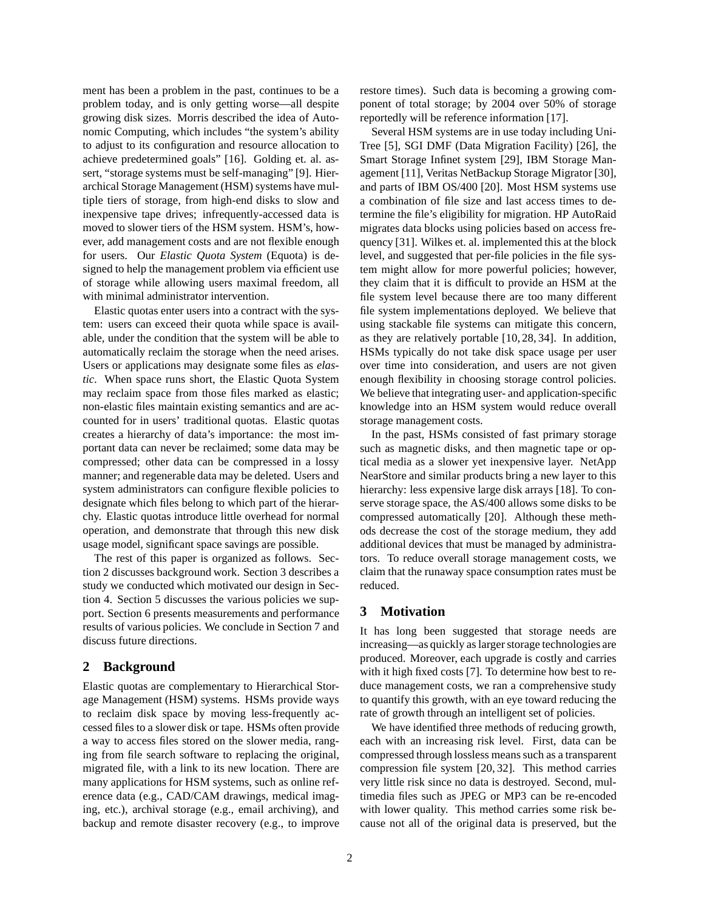ment has been a problem in the past, continues to be a problem today, and is only getting worse—all despite growing disk sizes. Morris described the idea of Autonomic Computing, which includes "the system's ability to adjust to its configuration and resource allocation to achieve predetermined goals" [16]. Golding et. al. assert, "storage systems must be self-managing" [9]. Hierarchical Storage Management (HSM) systems have multiple tiers of storage, from high-end disks to slow and inexpensive tape drives; infrequently-accessed data is moved to slower tiers of the HSM system. HSM's, however, add management costs and are not flexible enough for users. Our *Elastic Quota System* (Equota) is designed to help the management problem via efficient use of storage while allowing users maximal freedom, all with minimal administrator intervention.

Elastic quotas enter users into a contract with the system: users can exceed their quota while space is available, under the condition that the system will be able to automatically reclaim the storage when the need arises. Users or applications may designate some files as *elastic*. When space runs short, the Elastic Quota System may reclaim space from those files marked as elastic; non-elastic files maintain existing semantics and are accounted for in users' traditional quotas. Elastic quotas creates a hierarchy of data's importance: the most important data can never be reclaimed; some data may be compressed; other data can be compressed in a lossy manner; and regenerable data may be deleted. Users and system administrators can configure flexible policies to designate which files belong to which part of the hierarchy. Elastic quotas introduce little overhead for normal operation, and demonstrate that through this new disk usage model, significant space savings are possible.

The rest of this paper is organized as follows. Section 2 discusses background work. Section 3 describes a study we conducted which motivated our design in Section 4. Section 5 discusses the various policies we support. Section 6 presents measurements and performance results of various policies. We conclude in Section 7 and discuss future directions.

# **2 Background**

Elastic quotas are complementary to Hierarchical Storage Management (HSM) systems. HSMs provide ways to reclaim disk space by moving less-frequently accessed files to a slower disk or tape. HSMs often provide a way to access files stored on the slower media, ranging from file search software to replacing the original, migrated file, with a link to its new location. There are many applications for HSM systems, such as online reference data (e.g., CAD/CAM drawings, medical imaging, etc.), archival storage (e.g., email archiving), and backup and remote disaster recovery (e.g., to improve restore times). Such data is becoming a growing component of total storage; by 2004 over 50% of storage reportedly will be reference information [17].

Several HSM systems are in use today including Uni-Tree [5], SGI DMF (Data Migration Facility) [26], the Smart Storage Infinet system [29], IBM Storage Management [11], Veritas NetBackup Storage Migrator [30], and parts of IBM OS/400 [20]. Most HSM systems use a combination of file size and last access times to determine the file's eligibility for migration. HP AutoRaid migrates data blocks using policies based on access frequency [31]. Wilkes et. al. implemented this at the block level, and suggested that per-file policies in the file system might allow for more powerful policies; however, they claim that it is difficult to provide an HSM at the file system level because there are too many different file system implementations deployed. We believe that using stackable file systems can mitigate this concern, as they are relatively portable [10, 28, 34]. In addition, HSMs typically do not take disk space usage per user over time into consideration, and users are not given enough flexibility in choosing storage control policies. We believe that integrating user- and application-specific knowledge into an HSM system would reduce overall storage management costs.

In the past, HSMs consisted of fast primary storage such as magnetic disks, and then magnetic tape or optical media as a slower yet inexpensive layer. NetApp NearStore and similar products bring a new layer to this hierarchy: less expensive large disk arrays [18]. To conserve storage space, the AS/400 allows some disks to be compressed automatically [20]. Although these methods decrease the cost of the storage medium, they add additional devices that must be managed by administrators. To reduce overall storage management costs, we claim that the runaway space consumption rates must be reduced.

#### **3 Motivation**

It has long been suggested that storage needs are increasing—as quickly as larger storage technologies are produced. Moreover, each upgrade is costly and carries with it high fixed costs [7]. To determine how best to reduce management costs, we ran a comprehensive study to quantify this growth, with an eye toward reducing the rate of growth through an intelligent set of policies.

We have identified three methods of reducing growth, each with an increasing risk level. First, data can be compressed through lossless means such as a transparent compression file system [20, 32]. This method carries very little risk since no data is destroyed. Second, multimedia files such as JPEG or MP3 can be re-encoded with lower quality. This method carries some risk because not all of the original data is preserved, but the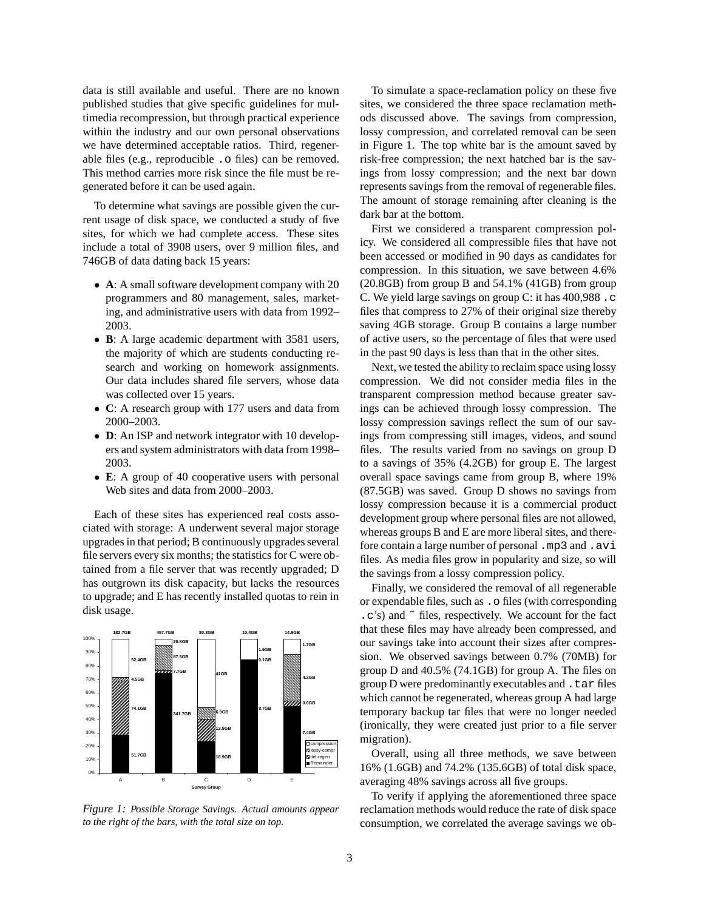data is still available and useful. There are no known published studies that give specific guidelines for multimedia recompression, but through practical experience within the industry and our own personal observations we have determined acceptable ratios. Third, regenerable files (e.g., reproducible .o files) can be removed. This method carries more risk since the file must be regenerated before it can be used again.

To determine what savings are possible given the current usage of disk space, we conducted a study of five sites, for which we had complete access. These sites include a total of 3908 users, over 9 million files, and 746GB of data dating back 15 years:

- **A**: A small software development company with 20 programmers and 80 management, sales, marketing, and administrative users with data from 1992– 2003.
- **B**: A large academic department with 3581 users, the majority of which are students conducting research and working on homework assignments. Our data includes shared file servers, whose data was collected over 15 years.
- **C**: A research group with 177 users and data from 2000–2003.
- **D**: An ISP and network integrator with 10 developers and system administrators with data from 1998– 2003.
- **E**: A group of 40 cooperative users with personal Web sites and data from 2000–2003.

Each of these sites has experienced real costs associated with storage: A underwent several major storage upgrades in that period; B continuously upgrades several file servers every six months; the statistics for C were obtained from a file server that was recently upgraded; D has outgrown its disk capacity, but lacks the resources to upgrade; and E has recently installed quotas to rein in disk usage.



*Figure 1: Possible Storage Savings. Actual amounts appear to the right of the bars, with the total size on top.*

To simulate a space-reclamation policy on these five sites, we considered the three space reclamation methods discussed above. The savings from compression, lossy compression, and correlated removal can be seen in Figure 1. The top white bar is the amount saved by risk-free compression; the next hatched bar is the savings from lossy compression; and the next bar down represents savings from the removal of regenerable files. The amount of storage remaining after cleaning is the dark bar at the bottom.

First we considered a transparent compression policy. We considered all compressible files that have not been accessed or modified in 90 days as candidates for compression. In this situation, we save between 4.6% (20.8GB) from group B and 54.1% (41GB) from group C. We yield large savings on group C: it has 400,988 .c files that compress to 27% of their original size thereby saving 4GB storage. Group B contains a large number of active users, so the percentage of files that were used in the past 90 days is less than that in the other sites.

Next, we tested the ability to reclaim space using lossy compression. We did not consider media files in the transparent compression method because greater savings can be achieved through lossy compression. The lossy compression savings reflect the sum of our savings from compressing still images, videos, and sound files. The results varied from no savings on group D to a savings of 35% (4.2GB) for group E. The largest overall space savings came from group B, where 19% (87.5GB) was saved. Group D shows no savings from lossy compression because it is a commercial product development group where personal files are not allowed, whereas groups B and E are more liberal sites, and therefore contain a large number of personal .mp3 and .avi files. As media files grow in popularity and size, so will the savings from a lossy compression policy.

Finally, we considered the removal of all regenerable or expendable files, such as .o files (with corresponding .c's) and ˜ files, respectively. We account for the fact that these files may have already been compressed, and our savings take into account their sizes after compression. We observed savings between 0.7% (70MB) for group D and 40.5% (74.1GB) for group A. The files on group D were predominantly executables and  $\pm$  tar files which cannot be regenerated, whereas group A had large temporary backup tar files that were no longer needed (ironically, they were created just prior to a file server migration).

Overall, using all three methods, we save between 16% (1.6GB) and 74.2% (135.6GB) of total disk space, averaging 48% savings across all five groups.

To verify if applying the aforementioned three space reclamation methods would reduce the rate of disk space consumption, we correlated the average savings we ob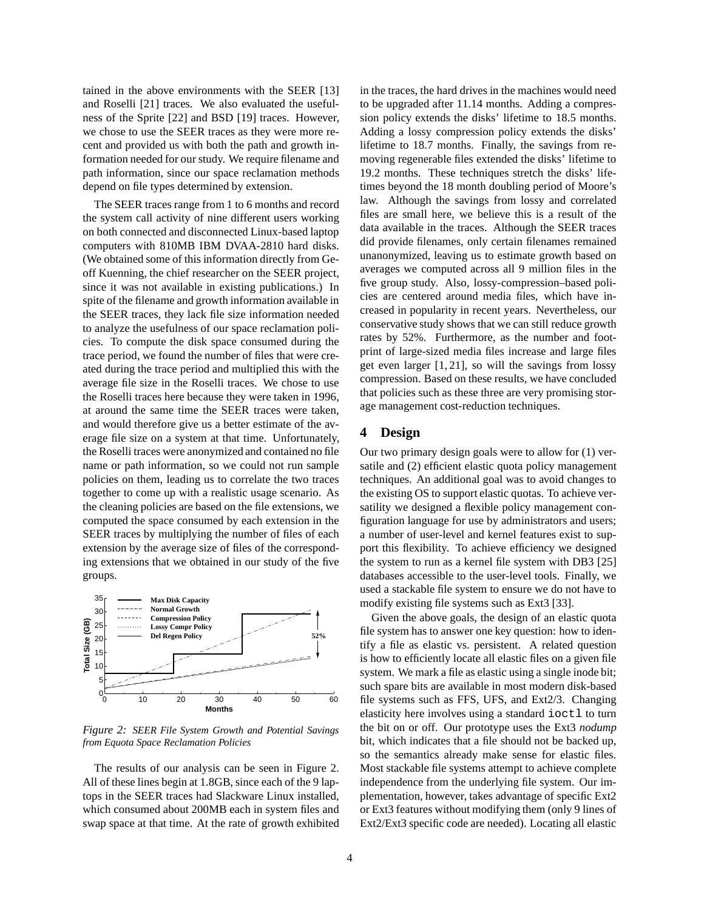tained in the above environments with the SEER [13] and Roselli [21] traces. We also evaluated the usefulness of the Sprite [22] and BSD [19] traces. However, we chose to use the SEER traces as they were more recent and provided us with both the path and growth information needed for our study. We require filename and path information, since our space reclamation methods depend on file types determined by extension.

The SEER traces range from 1 to 6 months and record the system call activity of nine different users working on both connected and disconnected Linux-based laptop computers with 810MB IBM DVAA-2810 hard disks. (We obtained some of this information directly from Geoff Kuenning, the chief researcher on the SEER project, since it was not available in existing publications.) In spite of the filename and growth information available in the SEER traces, they lack file size information needed to analyze the usefulness of our space reclamation policies. To compute the disk space consumed during the trace period, we found the number of files that were created during the trace period and multiplied this with the average file size in the Roselli traces. We chose to use the Roselli traces here because they were taken in 1996, at around the same time the SEER traces were taken, and would therefore give us a better estimate of the average file size on a system at that time. Unfortunately, the Roselli traces were anonymized and contained no file name or path information, so we could not run sample policies on them, leading us to correlate the two traces together to come up with a realistic usage scenario. As the cleaning policies are based on the file extensions, we computed the space consumed by each extension in the SEER traces by multiplying the number of files of each extension by the average size of files of the corresponding extensions that we obtained in our study of the five groups.



*Figure 2: SEER File System Growth and Potential Savings from Equota Space Reclamation Policies*

The results of our analysis can be seen in Figure 2. All of these lines begin at 1.8GB, since each of the 9 laptops in the SEER traces had Slackware Linux installed, which consumed about 200MB each in system files and swap space at that time. At the rate of growth exhibited in the traces, the hard drives in the machines would need to be upgraded after 11.14 months. Adding a compression policy extends the disks' lifetime to 18.5 months. Adding a lossy compression policy extends the disks' lifetime to 18.7 months. Finally, the savings from removing regenerable files extended the disks' lifetime to 19.2 months. These techniques stretch the disks' lifetimes beyond the 18 month doubling period of Moore's law. Although the savings from lossy and correlated files are small here, we believe this is a result of the data available in the traces. Although the SEER traces did provide filenames, only certain filenames remained unanonymized, leaving us to estimate growth based on averages we computed across all 9 million files in the five group study. Also, lossy-compression–based policies are centered around media files, which have increased in popularity in recent years. Nevertheless, our conservative study shows that we can still reduce growth rates by 52%. Furthermore, as the number and footprint of large-sized media files increase and large files get even larger  $[1, 21]$ , so will the savings from lossy compression. Based on these results, we have concluded that policies such as these three are very promising storage management cost-reduction techniques.

#### **4 Design**

Our two primary design goals were to allow for (1) versatile and (2) efficient elastic quota policy management techniques. An additional goal was to avoid changes to the existing OS to support elastic quotas. To achieve versatility we designed a flexible policy management configuration language for use by administrators and users; a number of user-level and kernel features exist to support this flexibility. To achieve efficiency we designed the system to run as a kernel file system with DB3 [25] databases accessible to the user-level tools. Finally, we used a stackable file system to ensure we do not have to modify existing file systems such as Ext3 [33].

Given the above goals, the design of an elastic quota file system has to answer one key question: how to identify a file as elastic vs. persistent. A related question is how to efficiently locate all elastic files on a given file system. We mark a file as elastic using a single inode bit; such spare bits are available in most modern disk-based file systems such as FFS, UFS, and Ext2/3. Changing elasticity here involves using a standard ioctl to turn the bit on or off. Our prototype uses the Ext3 *nodump* bit, which indicates that a file should not be backed up, so the semantics already make sense for elastic files. Most stackable file systems attempt to achieve complete independence from the underlying file system. Our implementation, however, takes advantage of specific Ext2 or Ext3 features without modifying them (only 9 lines of Ext2/Ext3 specific code are needed). Locating all elastic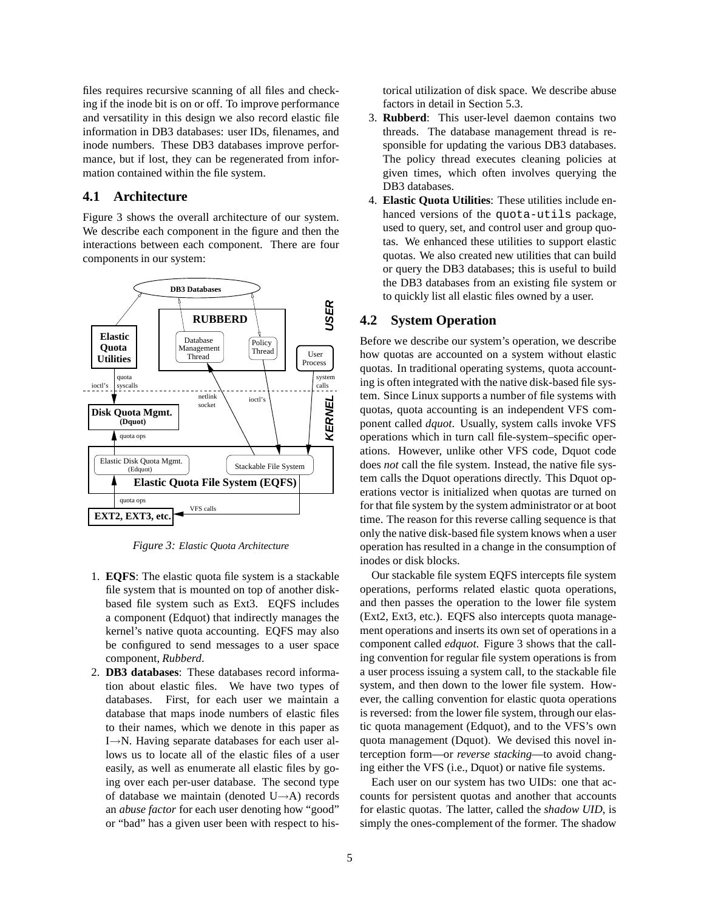files requires recursive scanning of all files and checking if the inode bit is on or off. To improve performance and versatility in this design we also record elastic file information in DB3 databases: user IDs, filenames, and inode numbers. These DB3 databases improve performance, but if lost, they can be regenerated from information contained within the file system.

## **4.1 Architecture**

Figure 3 shows the overall architecture of our system. We describe each component in the figure and then the interactions between each component. There are four components in our system:



*Figure 3: Elastic Quota Architecture*

- 1. **EQFS**: The elastic quota file system is a stackable file system that is mounted on top of another diskbased file system such as Ext3. EQFS includes a component (Edquot) that indirectly manages the kernel's native quota accounting. EQFS may also be configured to send messages to a user space component, *Rubberd*.
- 2. **DB3 databases**: These databases record information about elastic files. We have two types of databases. First, for each user we maintain a database that maps inode numbers of elastic files to their names, which we denote in this paper as I→N. Having separate databases for each user allows us to locate all of the elastic files of a user easily, as well as enumerate all elastic files by going over each per-user database. The second type of database we maintain (denoted U→A) records an *abuse factor* for each user denoting how "good" or "bad" has a given user been with respect to his-

torical utilization of disk space. We describe abuse factors in detail in Section 5.3.

- 3. **Rubberd**: This user-level daemon contains two threads. The database management thread is responsible for updating the various DB3 databases. The policy thread executes cleaning policies at given times, which often involves querying the DB3 databases.
- 4. **Elastic Quota Utilities**: These utilities include enhanced versions of the quota-utils package, used to query, set, and control user and group quotas. We enhanced these utilities to support elastic quotas. We also created new utilities that can build or query the DB3 databases; this is useful to build the DB3 databases from an existing file system or to quickly list all elastic files owned by a user.

#### **4.2 System Operation**

Before we describe our system's operation, we describe how quotas are accounted on a system without elastic quotas. In traditional operating systems, quota accounting is often integrated with the native disk-based file system. Since Linux supports a number of file systems with quotas, quota accounting is an independent VFS component called *dquot*. Usually, system calls invoke VFS operations which in turn call file-system–specific operations. However, unlike other VFS code, Dquot code does *not* call the file system. Instead, the native file system calls the Dquot operations directly. This Dquot operations vector is initialized when quotas are turned on for that file system by the system administrator or at boot time. The reason for this reverse calling sequence is that only the native disk-based file system knows when a user operation has resulted in a change in the consumption of inodes or disk blocks.

Our stackable file system EQFS intercepts file system operations, performs related elastic quota operations, and then passes the operation to the lower file system (Ext2, Ext3, etc.). EQFS also intercepts quota management operations and inserts its own set of operations in a component called *edquot*. Figure 3 shows that the calling convention for regular file system operations is from a user process issuing a system call, to the stackable file system, and then down to the lower file system. However, the calling convention for elastic quota operations is reversed: from the lower file system, through our elastic quota management (Edquot), and to the VFS's own quota management (Dquot). We devised this novel interception form—or *reverse stacking*—to avoid changing either the VFS (i.e., Dquot) or native file systems.

Each user on our system has two UIDs: one that accounts for persistent quotas and another that accounts for elastic quotas. The latter, called the *shadow UID*, is simply the ones-complement of the former. The shadow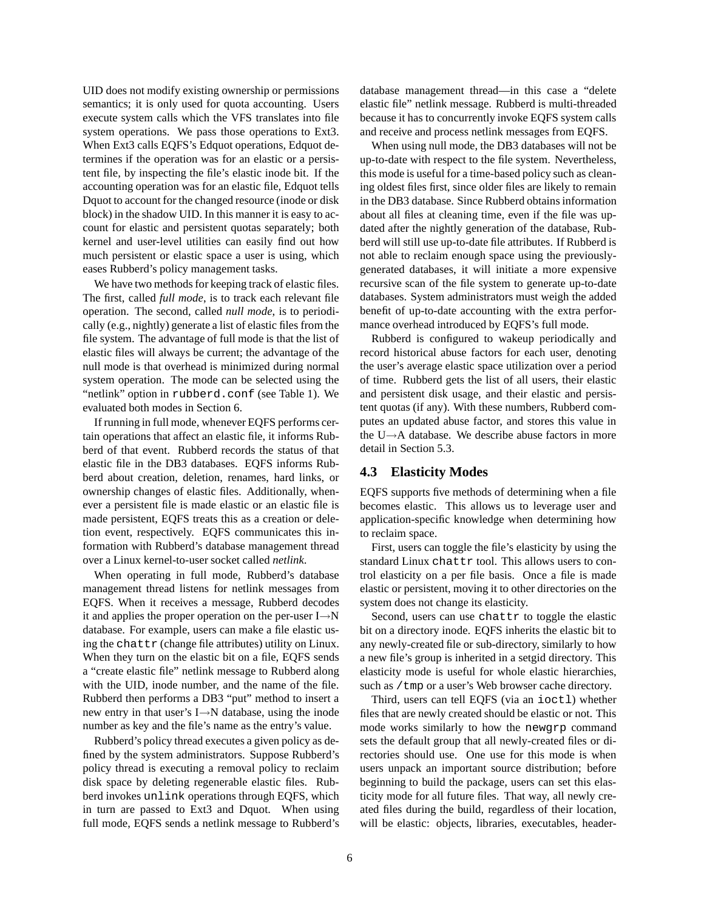UID does not modify existing ownership or permissions semantics; it is only used for quota accounting. Users execute system calls which the VFS translates into file system operations. We pass those operations to Ext3. When Ext3 calls EQFS's Edquot operations, Edquot determines if the operation was for an elastic or a persistent file, by inspecting the file's elastic inode bit. If the accounting operation was for an elastic file, Edquot tells Dquot to account for the changed resource (inode or disk block) in the shadow UID. In this manner it is easy to account for elastic and persistent quotas separately; both kernel and user-level utilities can easily find out how much persistent or elastic space a user is using, which eases Rubberd's policy management tasks.

We have two methods for keeping track of elastic files. The first, called *full mode*, is to track each relevant file operation. The second, called *null mode*, is to periodically (e.g., nightly) generate a list of elastic files from the file system. The advantage of full mode is that the list of elastic files will always be current; the advantage of the null mode is that overhead is minimized during normal system operation. The mode can be selected using the "netlink" option in rubberd.conf (see Table 1). We evaluated both modes in Section 6.

If running in full mode, whenever EQFS performs certain operations that affect an elastic file, it informs Rubberd of that event. Rubberd records the status of that elastic file in the DB3 databases. EQFS informs Rubberd about creation, deletion, renames, hard links, or ownership changes of elastic files. Additionally, whenever a persistent file is made elastic or an elastic file is made persistent, EQFS treats this as a creation or deletion event, respectively. EQFS communicates this information with Rubberd's database management thread over a Linux kernel-to-user socket called *netlink*.

When operating in full mode, Rubberd's database management thread listens for netlink messages from EQFS. When it receives a message, Rubberd decodes it and applies the proper operation on the per-user I→N database. For example, users can make a file elastic using the chattr (change file attributes) utility on Linux. When they turn on the elastic bit on a file, EQFS sends a "create elastic file" netlink message to Rubberd along with the UID, inode number, and the name of the file. Rubberd then performs a DB3 "put" method to insert a new entry in that user's I→N database, using the inode number as key and the file's name as the entry's value.

Rubberd's policy thread executes a given policy as defined by the system administrators. Suppose Rubberd's policy thread is executing a removal policy to reclaim disk space by deleting regenerable elastic files. Rubberd invokes unlink operations through EQFS, which in turn are passed to Ext3 and Dquot. When using full mode, EQFS sends a netlink message to Rubberd's database management thread—in this case a "delete elastic file" netlink message. Rubberd is multi-threaded because it has to concurrently invoke EQFS system calls and receive and process netlink messages from EQFS.

When using null mode, the DB3 databases will not be up-to-date with respect to the file system. Nevertheless, this mode is useful for a time-based policy such as cleaning oldest files first, since older files are likely to remain in the DB3 database. Since Rubberd obtains information about all files at cleaning time, even if the file was updated after the nightly generation of the database, Rubberd will still use up-to-date file attributes. If Rubberd is not able to reclaim enough space using the previouslygenerated databases, it will initiate a more expensive recursive scan of the file system to generate up-to-date databases. System administrators must weigh the added benefit of up-to-date accounting with the extra performance overhead introduced by EQFS's full mode.

Rubberd is configured to wakeup periodically and record historical abuse factors for each user, denoting the user's average elastic space utilization over a period of time. Rubberd gets the list of all users, their elastic and persistent disk usage, and their elastic and persistent quotas (if any). With these numbers, Rubberd computes an updated abuse factor, and stores this value in the U→A database. We describe abuse factors in more detail in Section 5.3.

## **4.3 Elasticity Modes**

EQFS supports five methods of determining when a file becomes elastic. This allows us to leverage user and application-specific knowledge when determining how to reclaim space.

First, users can toggle the file's elasticity by using the standard Linux chattr tool. This allows users to control elasticity on a per file basis. Once a file is made elastic or persistent, moving it to other directories on the system does not change its elasticity.

Second, users can use chattr to toggle the elastic bit on a directory inode. EQFS inherits the elastic bit to any newly-created file or sub-directory, similarly to how a new file's group is inherited in a setgid directory. This elasticity mode is useful for whole elastic hierarchies, such as /tmp or a user's Web browser cache directory.

Third, users can tell EQFS (via an ioctl) whether files that are newly created should be elastic or not. This mode works similarly to how the newgrp command sets the default group that all newly-created files or directories should use. One use for this mode is when users unpack an important source distribution; before beginning to build the package, users can set this elasticity mode for all future files. That way, all newly created files during the build, regardless of their location, will be elastic: objects, libraries, executables, header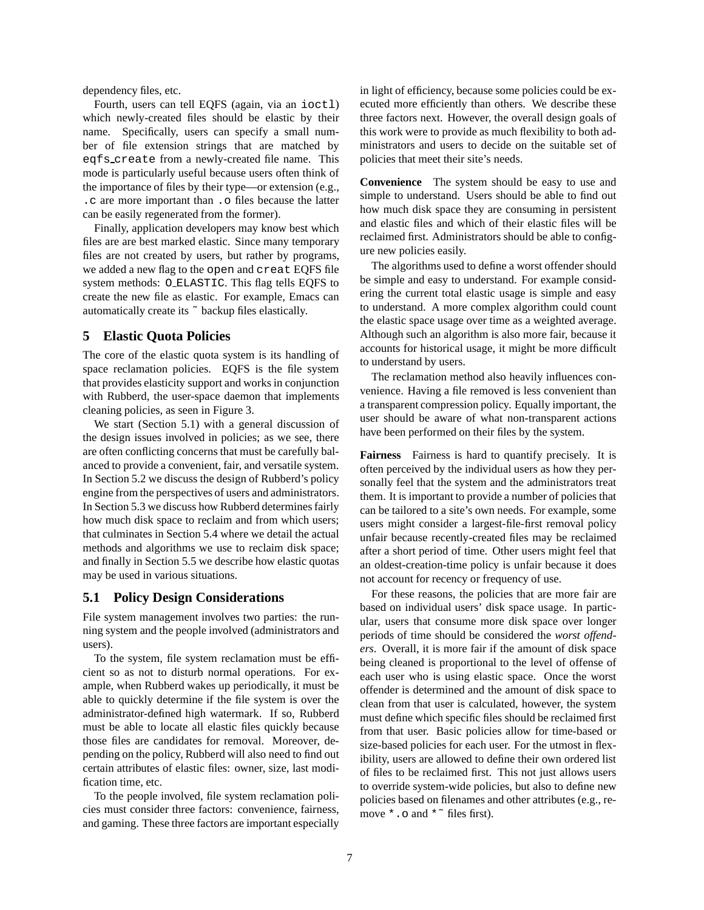dependency files, etc.

Fourth, users can tell EQFS (again, via an ioctl) which newly-created files should be elastic by their name. Specifically, users can specify a small number of file extension strings that are matched by eqfs create from a newly-created file name. This mode is particularly useful because users often think of the importance of files by their type—or extension (e.g., .c are more important than .o files because the latter can be easily regenerated from the former).

Finally, application developers may know best which files are are best marked elastic. Since many temporary files are not created by users, but rather by programs, we added a new flag to the open and creat EQFS file system methods: O ELASTIC. This flag tells EQFS to create the new file as elastic. For example, Emacs can automatically create its ˜ backup files elastically.

## **5 Elastic Quota Policies**

The core of the elastic quota system is its handling of space reclamation policies. EQFS is the file system that provides elasticity support and works in conjunction with Rubberd, the user-space daemon that implements cleaning policies, as seen in Figure 3.

We start (Section 5.1) with a general discussion of the design issues involved in policies; as we see, there are often conflicting concerns that must be carefully balanced to provide a convenient, fair, and versatile system. In Section 5.2 we discuss the design of Rubberd's policy engine from the perspectives of users and administrators. In Section 5.3 we discuss how Rubberd determines fairly how much disk space to reclaim and from which users; that culminates in Section 5.4 where we detail the actual methods and algorithms we use to reclaim disk space; and finally in Section 5.5 we describe how elastic quotas may be used in various situations.

# **5.1 Policy Design Considerations**

File system management involves two parties: the running system and the people involved (administrators and users).

To the system, file system reclamation must be efficient so as not to disturb normal operations. For example, when Rubberd wakes up periodically, it must be able to quickly determine if the file system is over the administrator-defined high watermark. If so, Rubberd must be able to locate all elastic files quickly because those files are candidates for removal. Moreover, depending on the policy, Rubberd will also need to find out certain attributes of elastic files: owner, size, last modification time, etc.

To the people involved, file system reclamation policies must consider three factors: convenience, fairness, and gaming. These three factors are important especially in light of efficiency, because some policies could be executed more efficiently than others. We describe these three factors next. However, the overall design goals of this work were to provide as much flexibility to both administrators and users to decide on the suitable set of policies that meet their site's needs.

**Convenience** The system should be easy to use and simple to understand. Users should be able to find out how much disk space they are consuming in persistent and elastic files and which of their elastic files will be reclaimed first. Administrators should be able to configure new policies easily.

The algorithms used to define a worst offender should be simple and easy to understand. For example considering the current total elastic usage is simple and easy to understand. A more complex algorithm could count the elastic space usage over time as a weighted average. Although such an algorithm is also more fair, because it accounts for historical usage, it might be more difficult to understand by users.

The reclamation method also heavily influences convenience. Having a file removed is less convenient than a transparent compression policy. Equally important, the user should be aware of what non-transparent actions have been performed on their files by the system.

**Fairness** Fairness is hard to quantify precisely. It is often perceived by the individual users as how they personally feel that the system and the administrators treat them. It is important to provide a number of policies that can be tailored to a site's own needs. For example, some users might consider a largest-file-first removal policy unfair because recently-created files may be reclaimed after a short period of time. Other users might feel that an oldest-creation-time policy is unfair because it does not account for recency or frequency of use.

For these reasons, the policies that are more fair are based on individual users' disk space usage. In particular, users that consume more disk space over longer periods of time should be considered the *worst offenders*. Overall, it is more fair if the amount of disk space being cleaned is proportional to the level of offense of each user who is using elastic space. Once the worst offender is determined and the amount of disk space to clean from that user is calculated, however, the system must define which specific files should be reclaimed first from that user. Basic policies allow for time-based or size-based policies for each user. For the utmost in flexibility, users are allowed to define their own ordered list of files to be reclaimed first. This not just allows users to override system-wide policies, but also to define new policies based on filenames and other attributes (e.g., remove \*.o and \*˜ files first).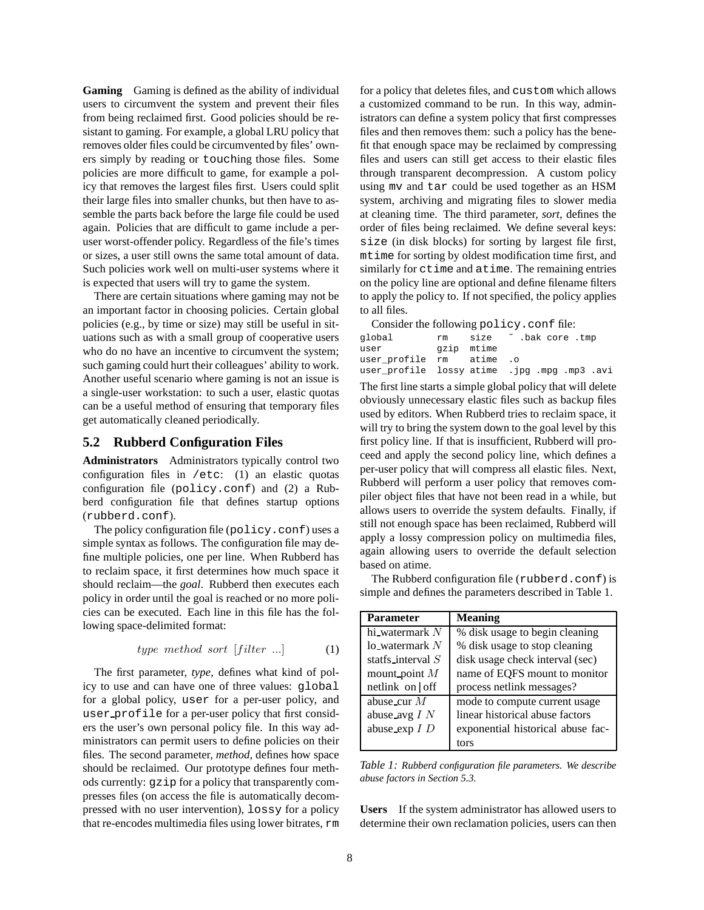**Gaming** Gaming is defined as the ability of individual users to circumvent the system and prevent their files from being reclaimed first. Good policies should be resistant to gaming. For example, a global LRU policy that removes older files could be circumvented by files' owners simply by reading or touching those files. Some policies are more difficult to game, for example a policy that removes the largest files first. Users could split their large files into smaller chunks, but then have to assemble the parts back before the large file could be used again. Policies that are difficult to game include a peruser worst-offender policy. Regardless of the file's times or sizes, a user still owns the same total amount of data. Such policies work well on multi-user systems where it is expected that users will try to game the system.

There are certain situations where gaming may not be an important factor in choosing policies. Certain global policies (e.g., by time or size) may still be useful in situations such as with a small group of cooperative users who do no have an incentive to circumvent the system; such gaming could hurt their colleagues' ability to work. Another useful scenario where gaming is not an issue is a single-user workstation: to such a user, elastic quotas can be a useful method of ensuring that temporary files get automatically cleaned periodically.

#### **5.2 Rubberd Configuration Files**

**Administrators** Administrators typically control two configuration files in /etc: (1) an elastic quotas configuration file (policy.conf) and (2) a Rubberd configuration file that defines startup options (rubberd.conf).

The policy configuration file (policy.conf) uses a simple syntax as follows. The configuration file may define multiple policies, one per line. When Rubberd has to reclaim space, it first determines how much space it should reclaim—the *goal*. Rubberd then executes each policy in order until the goal is reached or no more policies can be executed. Each line in this file has the following space-delimited format:

$$
type \ method \ sort \ [filter \ ...]
$$
 (1)

The first parameter, *type*, defines what kind of policy to use and can have one of three values: global for a global policy, user for a per-user policy, and user profile for a per-user policy that first considers the user's own personal policy file. In this way administrators can permit users to define policies on their files. The second parameter, *method*, defines how space should be reclaimed. Our prototype defines four methods currently: gzip for a policy that transparently compresses files (on access the file is automatically decompressed with no user intervention), lossy for a policy that re-encodes multimedia files using lower bitrates, rm for a policy that deletes files, and custom which allows a customized command to be run. In this way, administrators can define a system policy that first compresses files and then removes them: such a policy has the benefit that enough space may be reclaimed by compressing files and users can still get access to their elastic files through transparent decompression. A custom policy using mv and tar could be used together as an HSM system, archiving and migrating files to slower media at cleaning time. The third parameter, *sort*, defines the order of files being reclaimed. We define several keys: size (in disk blocks) for sorting by largest file first, mtime for sorting by oldest modification time first, and similarly for ctime and atime. The remaining entries on the policy line are optional and define filename filters to apply the policy to. If not specified, the policy applies to all files.

Consider the following policy.conf file:

| qlobal                   | rm |            | size ~ .bak core .tmp                        |
|--------------------------|----|------------|----------------------------------------------|
| user                     |    | gzip mtime |                                              |
| user profile rm atime .o |    |            |                                              |
|                          |    |            | user_profile lossy atime .jpg .mpg .mp3 .avi |

The first line starts a simple global policy that will delete obviously unnecessary elastic files such as backup files used by editors. When Rubberd tries to reclaim space, it will try to bring the system down to the goal level by this first policy line. If that is insufficient, Rubberd will proceed and apply the second policy line, which defines a per-user policy that will compress all elastic files. Next, Rubberd will perform a user policy that removes compiler object files that have not been read in a while, but allows users to override the system defaults. Finally, if still not enough space has been reclaimed, Rubberd will apply a lossy compression policy on multimedia files, again allowing users to override the default selection based on atime.

The Rubberd configuration file (rubberd.conf) is simple and defines the parameters described in Table 1.

| <b>Parameter</b>    | <b>Meaning</b>                    |
|---------------------|-----------------------------------|
| hi_watermark $N$    | % disk usage to begin cleaning    |
| $\log$ -watermark N | % disk usage to stop cleaning     |
| statfs_interval $S$ | disk usage check interval (sec)   |
| mount point $M$     | name of EQFS mount to monitor     |
| netlink on $of$     | process netlink messages?         |
| abuse_cur $M$       | mode to compute current usage     |
| abuse_avg $I N$     | linear historical abuse factors   |
| abuse_exp $I$ $D$   | exponential historical abuse fac- |
|                     | tors                              |

*Table 1: Rubberd configuration file parameters. We describe abuse factors in Section 5.3.*

**Users** If the system administrator has allowed users to determine their own reclamation policies, users can then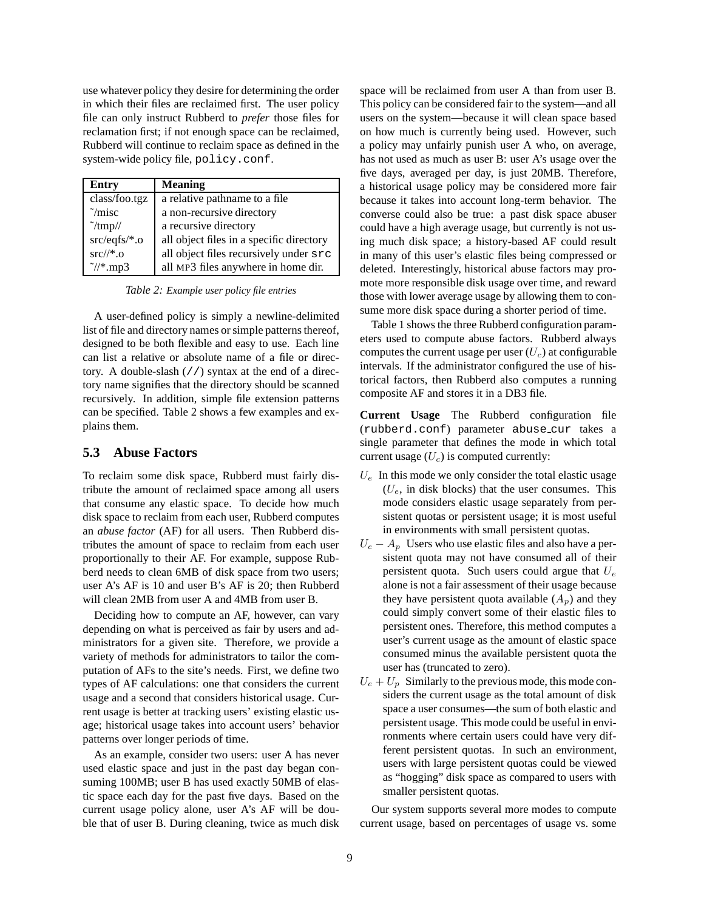use whatever policy they desire for determining the order in which their files are reclaimed first. The user policy file can only instruct Rubberd to *prefer* those files for reclamation first; if not enough space can be reclaimed, Rubberd will continue to reclaim space as defined in the system-wide policy file, policy.conf.

| Entry              | <b>Meaning</b>                           |
|--------------------|------------------------------------------|
| class/foo.tgz      | a relative pathname to a file            |
| $\tilde{}$ /misc   | a non-recursive directory                |
| $\tilde{\text{m}}$ | a recursive directory                    |
| $src/eqfs/*.$ o    | all object files in a specific directory |
| $src/\!/*.0$       | all object files recursively under src   |
| $\gamma$ *.mp3     | all MP3 files anywhere in home dir.      |

*Table 2: Example user policy file entries*

A user-defined policy is simply a newline-delimited list of file and directory names or simple patterns thereof, designed to be both flexible and easy to use. Each line can list a relative or absolute name of a file or directory. A double-slash (//) syntax at the end of a directory name signifies that the directory should be scanned recursively. In addition, simple file extension patterns can be specified. Table 2 shows a few examples and explains them.

#### **5.3 Abuse Factors**

To reclaim some disk space, Rubberd must fairly distribute the amount of reclaimed space among all users that consume any elastic space. To decide how much disk space to reclaim from each user, Rubberd computes an *abuse factor* (AF) for all users. Then Rubberd distributes the amount of space to reclaim from each user proportionally to their AF. For example, suppose Rubberd needs to clean 6MB of disk space from two users; user A's AF is 10 and user B's AF is 20; then Rubberd will clean 2MB from user A and 4MB from user B.

Deciding how to compute an AF, however, can vary depending on what is perceived as fair by users and administrators for a given site. Therefore, we provide a variety of methods for administrators to tailor the computation of AFs to the site's needs. First, we define two types of AF calculations: one that considers the current usage and a second that considers historical usage. Current usage is better at tracking users' existing elastic usage; historical usage takes into account users' behavior patterns over longer periods of time.

As an example, consider two users: user A has never used elastic space and just in the past day began consuming 100MB; user B has used exactly 50MB of elastic space each day for the past five days. Based on the current usage policy alone, user A's AF will be double that of user B. During cleaning, twice as much disk space will be reclaimed from user A than from user B. This policy can be considered fair to the system—and all users on the system—because it will clean space based on how much is currently being used. However, such a policy may unfairly punish user A who, on average, has not used as much as user B: user A's usage over the five days, averaged per day, is just 20MB. Therefore, a historical usage policy may be considered more fair because it takes into account long-term behavior. The converse could also be true: a past disk space abuser could have a high average usage, but currently is not using much disk space; a history-based AF could result in many of this user's elastic files being compressed or deleted. Interestingly, historical abuse factors may promote more responsible disk usage over time, and reward those with lower average usage by allowing them to consume more disk space during a shorter period of time.

Table 1 shows the three Rubberd configuration parameters used to compute abuse factors. Rubberd always computes the current usage per user  $(U_c)$  at configurable intervals. If the administrator configured the use of historical factors, then Rubberd also computes a running composite AF and stores it in a DB3 file.

**Current Usage** The Rubberd configuration file (rubberd.conf) parameter abuse cur takes a single parameter that defines the mode in which total current usage  $(U<sub>c</sub>)$  is computed currently:

- $U_e$  In this mode we only consider the total elastic usage  $(U_e, \text{ in disk blocks})$  that the user consumes. This mode considers elastic usage separately from persistent quotas or persistent usage; it is most useful in environments with small persistent quotas.
- $U_e A_p$  Users who use elastic files and also have a persistent quota may not have consumed all of their persistent quota. Such users could argue that  $U_e$ alone is not a fair assessment of their usage because they have persistent quota available  $(A_p)$  and they could simply convert some of their elastic files to persistent ones. Therefore, this method computes a user's current usage as the amount of elastic space consumed minus the available persistent quota the user has (truncated to zero).
- $U_e + U_p$  Similarly to the previous mode, this mode considers the current usage as the total amount of disk space a user consumes—the sum of both elastic and persistent usage. This mode could be useful in environments where certain users could have very different persistent quotas. In such an environment, users with large persistent quotas could be viewed as "hogging" disk space as compared to users with smaller persistent quotas.

Our system supports several more modes to compute current usage, based on percentages of usage vs. some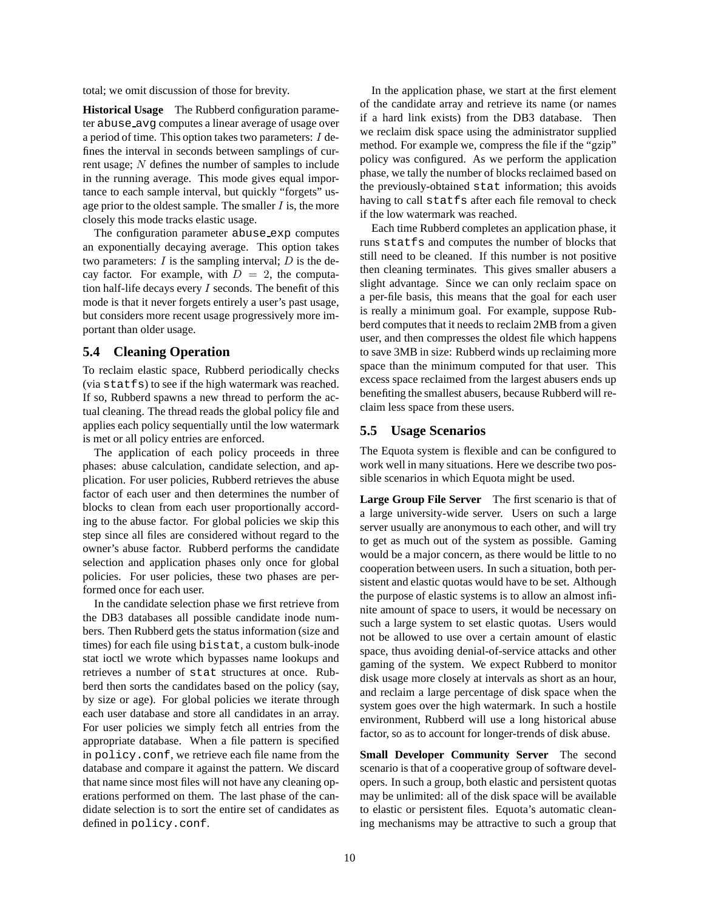total; we omit discussion of those for brevity.

**Historical Usage** The Rubberd configuration parameter abuse avg computes a linear average of usage over a period of time. This option takes two parameters: I defines the interval in seconds between samplings of current usage; N defines the number of samples to include in the running average. This mode gives equal importance to each sample interval, but quickly "forgets" usage prior to the oldest sample. The smaller  $I$  is, the more closely this mode tracks elastic usage.

The configuration parameter abuse exp computes an exponentially decaying average. This option takes two parameters:  $I$  is the sampling interval;  $D$  is the decay factor. For example, with  $D = 2$ , the computation half-life decays every  $I$  seconds. The benefit of this mode is that it never forgets entirely a user's past usage, but considers more recent usage progressively more important than older usage.

# **5.4 Cleaning Operation**

To reclaim elastic space, Rubberd periodically checks (via statfs) to see if the high watermark was reached. If so, Rubberd spawns a new thread to perform the actual cleaning. The thread reads the global policy file and applies each policy sequentially until the low watermark is met or all policy entries are enforced.

The application of each policy proceeds in three phases: abuse calculation, candidate selection, and application. For user policies, Rubberd retrieves the abuse factor of each user and then determines the number of blocks to clean from each user proportionally according to the abuse factor. For global policies we skip this step since all files are considered without regard to the owner's abuse factor. Rubberd performs the candidate selection and application phases only once for global policies. For user policies, these two phases are performed once for each user.

In the candidate selection phase we first retrieve from the DB3 databases all possible candidate inode numbers. Then Rubberd gets the status information (size and times) for each file using bistat, a custom bulk-inode stat ioctl we wrote which bypasses name lookups and retrieves a number of stat structures at once. Rubberd then sorts the candidates based on the policy (say, by size or age). For global policies we iterate through each user database and store all candidates in an array. For user policies we simply fetch all entries from the appropriate database. When a file pattern is specified in policy.conf, we retrieve each file name from the database and compare it against the pattern. We discard that name since most files will not have any cleaning operations performed on them. The last phase of the candidate selection is to sort the entire set of candidates as defined in policy.conf.

In the application phase, we start at the first element of the candidate array and retrieve its name (or names if a hard link exists) from the DB3 database. Then we reclaim disk space using the administrator supplied method. For example we, compress the file if the "gzip" policy was configured. As we perform the application phase, we tally the number of blocks reclaimed based on the previously-obtained stat information; this avoids having to call statfs after each file removal to check if the low watermark was reached.

Each time Rubberd completes an application phase, it runs statfs and computes the number of blocks that still need to be cleaned. If this number is not positive then cleaning terminates. This gives smaller abusers a slight advantage. Since we can only reclaim space on a per-file basis, this means that the goal for each user is really a minimum goal. For example, suppose Rubberd computes that it needs to reclaim 2MB from a given user, and then compresses the oldest file which happens to save 3MB in size: Rubberd winds up reclaiming more space than the minimum computed for that user. This excess space reclaimed from the largest abusers ends up benefiting the smallest abusers, because Rubberd will reclaim less space from these users.

## **5.5 Usage Scenarios**

The Equota system is flexible and can be configured to work well in many situations. Here we describe two possible scenarios in which Equota might be used.

**Large Group File Server** The first scenario is that of a large university-wide server. Users on such a large server usually are anonymous to each other, and will try to get as much out of the system as possible. Gaming would be a major concern, as there would be little to no cooperation between users. In such a situation, both persistent and elastic quotas would have to be set. Although the purpose of elastic systems is to allow an almost infinite amount of space to users, it would be necessary on such a large system to set elastic quotas. Users would not be allowed to use over a certain amount of elastic space, thus avoiding denial-of-service attacks and other gaming of the system. We expect Rubberd to monitor disk usage more closely at intervals as short as an hour, and reclaim a large percentage of disk space when the system goes over the high watermark. In such a hostile environment, Rubberd will use a long historical abuse factor, so as to account for longer-trends of disk abuse.

**Small Developer Community Server** The second scenario is that of a cooperative group of software developers. In such a group, both elastic and persistent quotas may be unlimited: all of the disk space will be available to elastic or persistent files. Equota's automatic cleaning mechanisms may be attractive to such a group that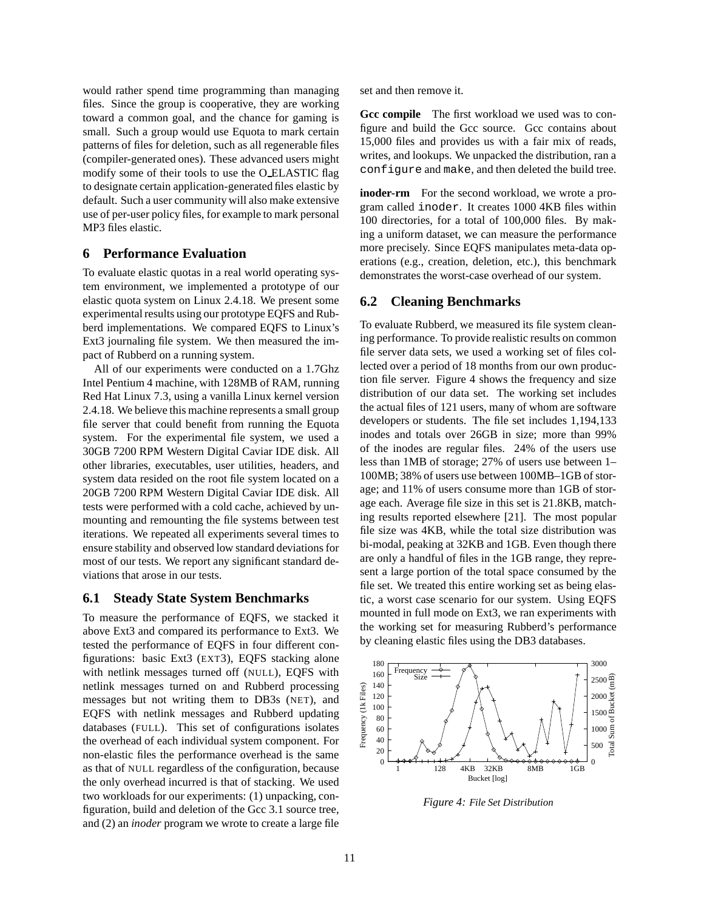would rather spend time programming than managing files. Since the group is cooperative, they are working toward a common goal, and the chance for gaming is small. Such a group would use Equota to mark certain patterns of files for deletion, such as all regenerable files (compiler-generated ones). These advanced users might modify some of their tools to use the O ELASTIC flag to designate certain application-generated files elastic by default. Such a user community will also make extensive use of per-user policy files, for example to mark personal MP3 files elastic.

# **6 Performance Evaluation**

To evaluate elastic quotas in a real world operating system environment, we implemented a prototype of our elastic quota system on Linux 2.4.18. We present some experimental results using our prototype EQFS and Rubberd implementations. We compared EQFS to Linux's Ext3 journaling file system. We then measured the impact of Rubberd on a running system.

All of our experiments were conducted on a 1.7Ghz Intel Pentium 4 machine, with 128MB of RAM, running Red Hat Linux 7.3, using a vanilla Linux kernel version 2.4.18. We believe this machine represents a small group file server that could benefit from running the Equota system. For the experimental file system, we used a 30GB 7200 RPM Western Digital Caviar IDE disk. All other libraries, executables, user utilities, headers, and system data resided on the root file system located on a 20GB 7200 RPM Western Digital Caviar IDE disk. All tests were performed with a cold cache, achieved by unmounting and remounting the file systems between test iterations. We repeated all experiments several times to ensure stability and observed low standard deviations for most of our tests. We report any significant standard deviations that arose in our tests.

#### **6.1 Steady State System Benchmarks**

To measure the performance of EQFS, we stacked it above Ext3 and compared its performance to Ext3. We tested the performance of EQFS in four different configurations: basic Ext3 (EXT3), EQFS stacking alone with netlink messages turned off (NULL), EQFS with netlink messages turned on and Rubberd processing messages but not writing them to DB3s (NET), and EQFS with netlink messages and Rubberd updating databases (FULL). This set of configurations isolates the overhead of each individual system component. For non-elastic files the performance overhead is the same as that of NULL regardless of the configuration, because the only overhead incurred is that of stacking. We used two workloads for our experiments: (1) unpacking, configuration, build and deletion of the Gcc 3.1 source tree, and (2) an *inoder* program we wrote to create a large file set and then remove it.

**Gcc compile** The first workload we used was to configure and build the Gcc source. Gcc contains about 15,000 files and provides us with a fair mix of reads, writes, and lookups. We unpacked the distribution, ran a configure and make, and then deleted the build tree.

**inoder-rm** For the second workload, we wrote a program called inoder. It creates 1000 4KB files within 100 directories, for a total of 100,000 files. By making a uniform dataset, we can measure the performance more precisely. Since EQFS manipulates meta-data operations (e.g., creation, deletion, etc.), this benchmark demonstrates the worst-case overhead of our system.

#### **6.2 Cleaning Benchmarks**

To evaluate Rubberd, we measured its file system cleaning performance. To provide realistic results on common file server data sets, we used a working set of files collected over a period of 18 months from our own production file server. Figure 4 shows the frequency and size distribution of our data set. The working set includes the actual files of 121 users, many of whom are software developers or students. The file set includes 1,194,133 inodes and totals over 26GB in size; more than 99% of the inodes are regular files. 24% of the users use less than 1MB of storage; 27% of users use between 1– 100MB; 38% of users use between 100MB–1GB of storage; and 11% of users consume more than 1GB of storage each. Average file size in this set is 21.8KB, matching results reported elsewhere [21]. The most popular file size was 4KB, while the total size distribution was bi-modal, peaking at 32KB and 1GB. Even though there are only a handful of files in the 1GB range, they represent a large portion of the total space consumed by the file set. We treated this entire working set as being elastic, a worst case scenario for our system. Using EQFS mounted in full mode on Ext3, we ran experiments with the working set for measuring Rubberd's performance by cleaning elastic files using the DB3 databases.



*Figure 4: File Set Distribution*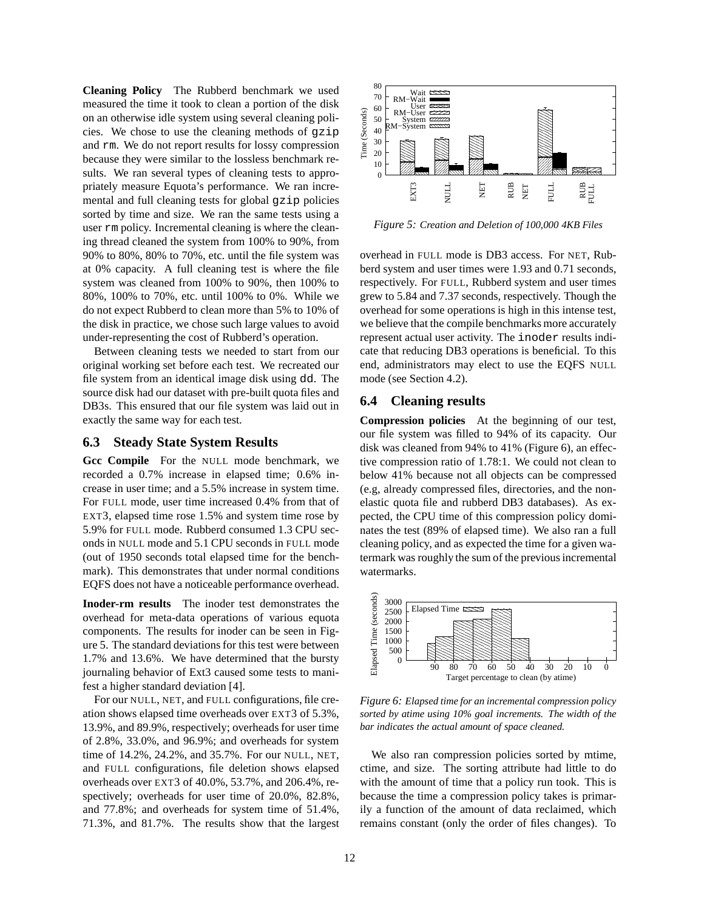**Cleaning Policy** The Rubberd benchmark we used measured the time it took to clean a portion of the disk on an otherwise idle system using several cleaning policies. We chose to use the cleaning methods of gzip and rm. We do not report results for lossy compression because they were similar to the lossless benchmark results. We ran several types of cleaning tests to appropriately measure Equota's performance. We ran incremental and full cleaning tests for global gzip policies sorted by time and size. We ran the same tests using a user rm policy. Incremental cleaning is where the cleaning thread cleaned the system from 100% to 90%, from 90% to 80%, 80% to 70%, etc. until the file system was at 0% capacity. A full cleaning test is where the file system was cleaned from 100% to 90%, then 100% to 80%, 100% to 70%, etc. until 100% to 0%. While we do not expect Rubberd to clean more than 5% to 10% of the disk in practice, we chose such large values to avoid under-representing the cost of Rubberd's operation.

Between cleaning tests we needed to start from our original working set before each test. We recreated our file system from an identical image disk using dd. The source disk had our dataset with pre-built quota files and DB3s. This ensured that our file system was laid out in exactly the same way for each test.

#### **6.3 Steady State System Results**

**Gcc Compile** For the NULL mode benchmark, we recorded a 0.7% increase in elapsed time; 0.6% increase in user time; and a 5.5% increase in system time. For FULL mode, user time increased 0.4% from that of EXT3, elapsed time rose 1.5% and system time rose by 5.9% for FULL mode. Rubberd consumed 1.3 CPU seconds in NULL mode and 5.1 CPU seconds in FULL mode (out of 1950 seconds total elapsed time for the benchmark). This demonstrates that under normal conditions EQFS does not have a noticeable performance overhead.

**Inoder-rm results** The inoder test demonstrates the overhead for meta-data operations of various equota components. The results for inoder can be seen in Figure 5. The standard deviations for this test were between 1.7% and 13.6%. We have determined that the bursty journaling behavior of Ext3 caused some tests to manifest a higher standard deviation [4].

For our NULL, NET, and FULL configurations, file creation shows elapsed time overheads over EXT3 of 5.3%, 13.9%, and 89.9%, respectively; overheads for user time of 2.8%, 33.0%, and 96.9%; and overheads for system time of 14.2%, 24.2%, and 35.7%. For our NULL, NET, and FULL configurations, file deletion shows elapsed overheads over EXT3 of 40.0%, 53.7%, and 206.4%, respectively; overheads for user time of 20.0%, 82.8%, and 77.8%; and overheads for system time of 51.4%, 71.3%, and 81.7%. The results show that the largest



*Figure 5: Creation and Deletion of 100,000 4KB Files*

overhead in FULL mode is DB3 access. For NET, Rubberd system and user times were 1.93 and 0.71 seconds, respectively. For FULL, Rubberd system and user times grew to 5.84 and 7.37 seconds, respectively. Though the overhead for some operations is high in this intense test, we believe that the compile benchmarks more accurately represent actual user activity. The inoder results indicate that reducing DB3 operations is beneficial. To this end, administrators may elect to use the EQFS NULL mode (see Section 4.2).

## **6.4 Cleaning results**

**Compression policies** At the beginning of our test, our file system was filled to 94% of its capacity. Our disk was cleaned from 94% to 41% (Figure 6), an effective compression ratio of 1.78:1. We could not clean to below 41% because not all objects can be compressed (e.g, already compressed files, directories, and the nonelastic quota file and rubberd DB3 databases). As expected, the CPU time of this compression policy dominates the test (89% of elapsed time). We also ran a full cleaning policy, and as expected the time for a given watermark was roughly the sum of the previous incremental watermarks.



*Figure 6: Elapsed time for an incremental compression policy sorted by atime using 10% goal increments. The width of the bar indicates the actual amount of space cleaned.*

We also ran compression policies sorted by mtime, ctime, and size. The sorting attribute had little to do with the amount of time that a policy run took. This is because the time a compression policy takes is primarily a function of the amount of data reclaimed, which remains constant (only the order of files changes). To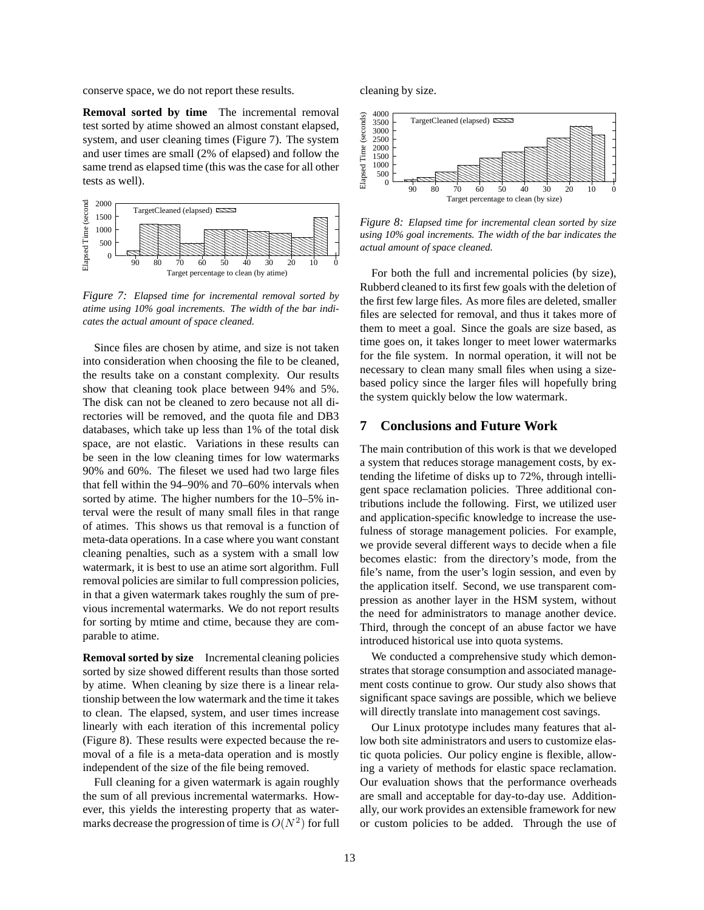conserve space, we do not report these results.

**Removal sorted by time** The incremental removal test sorted by atime showed an almost constant elapsed, system, and user cleaning times (Figure 7). The system and user times are small (2% of elapsed) and follow the same trend as elapsed time (this was the case for all other tests as well).



*Figure 7: Elapsed time for incremental removal sorted by atime using 10% goal increments. The width of the bar indicates the actual amount of space cleaned.*

Since files are chosen by atime, and size is not taken into consideration when choosing the file to be cleaned, the results take on a constant complexity. Our results show that cleaning took place between 94% and 5%. The disk can not be cleaned to zero because not all directories will be removed, and the quota file and DB3 databases, which take up less than 1% of the total disk space, are not elastic. Variations in these results can be seen in the low cleaning times for low watermarks 90% and 60%. The fileset we used had two large files that fell within the 94–90% and 70–60% intervals when sorted by atime. The higher numbers for the 10–5% interval were the result of many small files in that range of atimes. This shows us that removal is a function of meta-data operations. In a case where you want constant cleaning penalties, such as a system with a small low watermark, it is best to use an atime sort algorithm. Full removal policies are similar to full compression policies, in that a given watermark takes roughly the sum of previous incremental watermarks. We do not report results for sorting by mtime and ctime, because they are comparable to atime.

**Removal sorted by size** Incremental cleaning policies sorted by size showed different results than those sorted by atime. When cleaning by size there is a linear relationship between the low watermark and the time it takes to clean. The elapsed, system, and user times increase linearly with each iteration of this incremental policy (Figure 8). These results were expected because the removal of a file is a meta-data operation and is mostly independent of the size of the file being removed.

Full cleaning for a given watermark is again roughly the sum of all previous incremental watermarks. However, this yields the interesting property that as watermarks decrease the progression of time is  $O(N^2)$  for full

cleaning by size.



 $\frac{1}{2}$   $\frac{1}{2}$   $\frac{1}{2}$   $\frac{1}{2}$   $\frac{1}{2}$   $\frac{1}{2}$   $\frac{1}{2}$   $\frac{1}{2}$   $\frac{1}{2}$   $\frac{1}{2}$   $\frac{1}{2}$   $\frac{1}{2}$   $\frac{1}{2}$   $\frac{1}{2}$   $\frac{1}{2}$   $\frac{1}{2}$   $\frac{1}{2}$   $\frac{1}{2}$   $\frac{1}{2}$   $\frac{1}{2}$   $\frac{1}{2}$   $\frac{1}{2}$   $Figure 8: Elaps$ <br> $using 10% goal in  
actual amount of.$ 00 *using 10% goal increments. The width of the bar indicates the* 00 00 00 *Figure 8: Elapsed time for incremental clean sorted by size*

For both the full and incremental policies (by size), Rubberd cleaned to its first few goals with the deletion of the first few large files. As more files are deleted, smaller files are selected for removal, and thus it takes more of them to meet a goal. Since the goals are size based, as time goes on, it takes longer to meet lower watermarks for the file system. In normal operation, it will not be necessary to clean many small files when using a sizebased policy since the larger files will hopefully bring the system quickly below the low watermark.

## **7 Conclusions and Future Work**

The main contribution of this work is that we developed a system that reduces storage management costs, by extending the lifetime of disks up to 72%, through intelligent space reclamation policies. Three additional contributions include the following. First, we utilized user and application-specific knowledge to increase the usefulness of storage management policies. For example, we provide several different ways to decide when a file becomes elastic: from the directory's mode, from the file's name, from the user's login session, and even by the application itself. Second, we use transparent compression as another layer in the HSM system, without the need for administrators to manage another device. Third, through the concept of an abuse factor we have introduced historical use into quota systems.

We conducted a comprehensive study which demonstrates that storage consumption and associated management costs continue to grow. Our study also shows that significant space savings are possible, which we believe will directly translate into management cost savings.

Our Linux prototype includes many features that allow both site administrators and users to customize elastic quota policies. Our policy engine is flexible, allowing a variety of methods for elastic space reclamation. Our evaluation shows that the performance overheads are small and acceptable for day-to-day use. Additionally, our work provides an extensible framework for new or custom policies to be added. Through the use of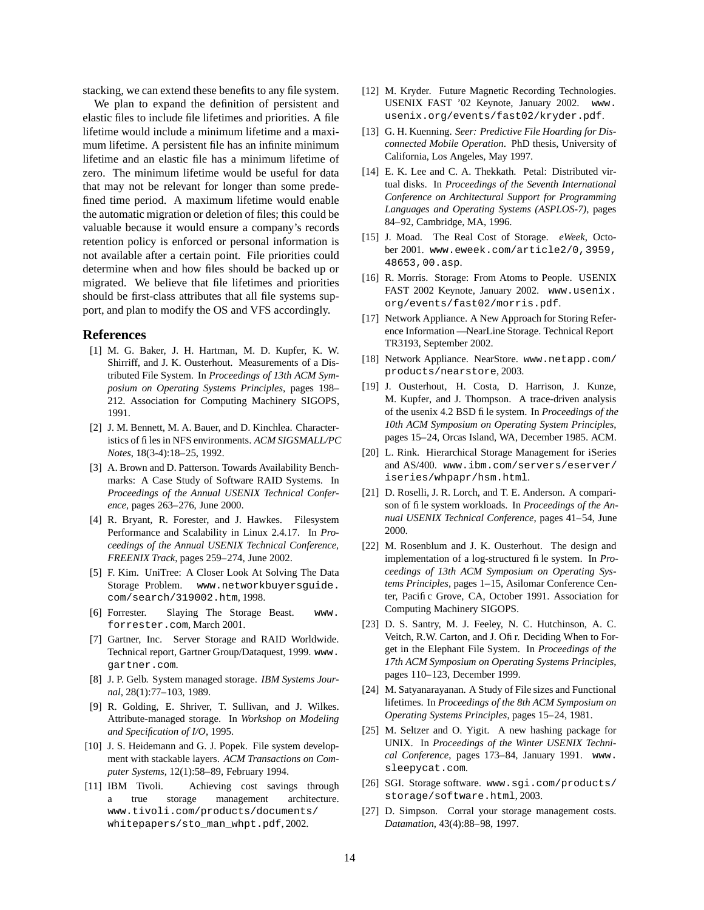stacking, we can extend these benefits to any file system.

We plan to expand the definition of persistent and elastic files to include file lifetimes and priorities. A file lifetime would include a minimum lifetime and a maximum lifetime. A persistent file has an infinite minimum lifetime and an elastic file has a minimum lifetime of zero. The minimum lifetime would be useful for data that may not be relevant for longer than some predefined time period. A maximum lifetime would enable the automatic migration or deletion of files; this could be valuable because it would ensure a company's records retention policy is enforced or personal information is not available after a certain point. File priorities could determine when and how files should be backed up or migrated. We believe that file lifetimes and priorities should be first-class attributes that all file systems support, and plan to modify the OS and VFS accordingly.

#### **References**

- [1] M. G. Baker, J. H. Hartman, M. D. Kupfer, K. W. Shirriff, and J. K. Ousterhout. Measurements of a Distributed File System. In *Proceedings of 13th ACM Symposium on Operating Systems Principles*, pages 198– 212. Association for Computing Machinery SIGOPS, 1991.
- [2] J. M. Bennett, M. A. Bauer, and D. Kinchlea. Characteristics of filesin NFS environments. *ACM SIGSMALL/PC Notes*, 18(3-4):18–25, 1992.
- [3] A. Brown and D. Patterson. Towards Availability Benchmarks: A Case Study of Software RAID Systems. In *Proceedings of the Annual USENIX Technical Conference*, pages 263–276, June 2000.
- [4] R. Bryant, R. Forester, and J. Hawkes. Filesystem Performance and Scalability in Linux 2.4.17. In *Proceedings of the Annual USENIX Technical Conference, FREENIX Track*, pages 259–274, June 2002.
- [5] F. Kim. UniTree: A Closer Look At Solving The Data Storage Problem. www.networkbuyersguide. com/search/319002.htm, 1998.
- [6] Forrester. Slaying The Storage Beast. www. forrester.com, March 2001.
- [7] Gartner, Inc. Server Storage and RAID Worldwide. Technical report, Gartner Group/Dataquest, 1999. www. gartner.com.
- [8] J. P. Gelb. System managed storage. *IBM Systems Journal*, 28(1):77–103, 1989.
- [9] R. Golding, E. Shriver, T. Sullivan, and J. Wilkes. Attribute-managed storage. In *Workshop on Modeling and Specification of I/O*, 1995.
- [10] J. S. Heidemann and G. J. Popek. File system development with stackable layers. *ACM Transactions on Computer Systems*, 12(1):58–89, February 1994.
- [11] IBM Tivoli. Achieving cost savings through a true storage management architecture. www.tivoli.com/products/documents/ whitepapers/sto\_man\_whpt.pdf, 2002.
- [12] M. Kryder. Future Magnetic Recording Technologies. USENIX FAST '02 Keynote, January 2002. www. usenix.org/events/fast02/kryder.pdf.
- [13] G. H. Kuenning. *Seer: Predictive File Hoarding for Disconnected Mobile Operation*. PhD thesis, University of California, Los Angeles, May 1997.
- [14] E. K. Lee and C. A. Thekkath. Petal: Distributed virtual disks. In *Proceedings of the Seventh International Conference on Architectural Support for Programming Languages and Operating Systems (ASPLOS-7)*, pages 84–92, Cambridge, MA, 1996.
- [15] J. Moad. The Real Cost of Storage. *eWeek*, October 2001. www.eweek.com/article2/0,3959, 48653,00.asp.
- [16] R. Morris. Storage: From Atoms to People. USENIX FAST 2002 Keynote, January 2002. www.usenix. org/events/fast02/morris.pdf.
- [17] Network Appliance. A New Approach for Storing Reference Information — NearLine Storage. Technical Report TR3193, September 2002.
- [18] Network Appliance. NearStore. www.netapp.com/ products/nearstore, 2003.
- [19] J. Ousterhout, H. Costa, D. Harrison, J. Kunze, M. Kupfer, and J. Thompson. A trace-driven analysis of the usenix 4.2 BSD file system. In *Proceedings of the 10th ACM Symposium on Operating System Principles*, pages 15–24, Orcas Island, WA, December 1985. ACM.
- [20] L. Rink. Hierarchical Storage Management for iSeries and AS/400. www.ibm.com/servers/eserver/ iseries/whpapr/hsm.html.
- [21] D. Roselli, J. R. Lorch, and T. E. Anderson. A comparison of file system workloads. In *Proceedings of the Annual USENIX Technical Conference*, pages 41–54, June 2000.
- [22] M. Rosenblum and J. K. Ousterhout. The design and implementation of a log-structured file system. In *Proceedings of 13th ACM Symposium on Operating Systems Principles*, pages 1–15, Asilomar Conference Center, Pacific Grove, CA, October 1991. Association for Computing Machinery SIGOPS.
- [23] D. S. Santry, M. J. Feeley, N. C. Hutchinson, A. C. Veitch, R.W. Carton, and J. Ofir. Deciding When to Forget in the Elephant File System. In *Proceedings of the 17th ACM Symposium on Operating Systems Principles*, pages 110–123, December 1999.
- [24] M. Satyanarayanan. A Study of File sizes and Functional lifetimes. In *Proceedings of the 8th ACM Symposium on Operating Systems Principles*, pages 15–24, 1981.
- [25] M. Seltzer and O. Yigit. A new hashing package for UNIX. In *Proceedings of the Winter USENIX Technical Conference*, pages 173–84, January 1991. www. sleepycat.com.
- [26] SGI. Storage software. www.sgi.com/products/ storage/software.html, 2003.
- [27] D. Simpson. Corral your storage management costs. *Datamation*, 43(4):88–98, 1997.